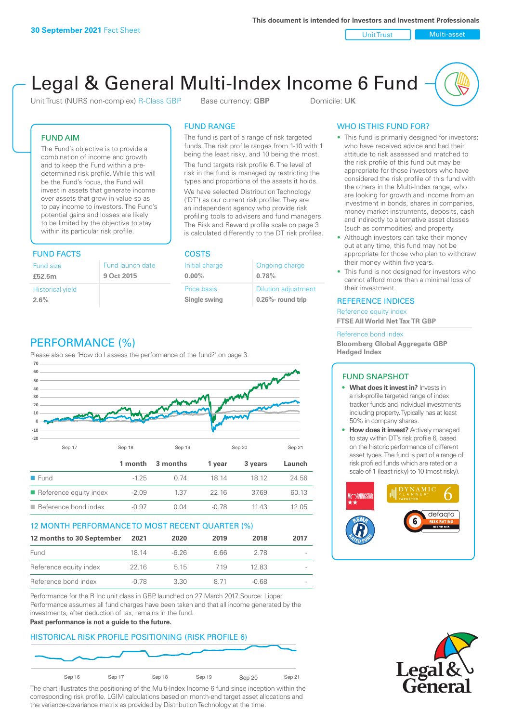Unit Trust Nulti-asset

# Legal & General Multi-Index Income 6 Fund

Unit Trust (NURS non-complex) R-Class GBP Base currency: **GBP** Domicile: UK

### FUND AIM

The Fund's objective is to provide a combination of income and growth and to keep the Fund within a predetermined risk profile. While this will be the Fund's focus, the Fund will invest in assets that generate income over assets that grow in value so as to pay income to investors. The Fund's potential gains and losses are likely to be limited by the objective to stay within its particular risk profile.

### FUND FACTS COSTS

| Fund size                       | Fund launch date |
|---------------------------------|------------------|
| £52.5m                          | 9 Oct 2015       |
| <b>Historical yield</b><br>2.6% |                  |

### FUND RANGE

The fund is part of a range of risk targeted funds. The risk profile ranges from 1-10 with 1 being the least risky, and 10 being the most.

The fund targets risk profile 6. The level of risk in the fund is managed by restricting the types and proportions of the assets it holds. We have selected Distribution Technology ('DT') as our current risk profiler. They are an independent agency who provide risk profiling tools to advisers and fund managers. The Risk and Reward profile scale on page 3 is calculated differently to the DT risk profiles.

**0.00%**

| Initial charge | Ongoing charge             |
|----------------|----------------------------|
| $0.00\%$       | 0.78%                      |
| Price basis    | <b>Dilution adjustment</b> |
| Single swing   | 0.26%- round trip          |

### WHO IS THIS FUND FOR?

- This fund is primarily designed for investors: who have received advice and had their attitude to risk assessed and matched to the risk profile of this fund but may be appropriate for those investors who have considered the risk profile of this fund with the others in the Multi-Index range; who are looking for growth and income from an investment in bonds, shares in companies, money market instruments, deposits, cash and indirectly to alternative asset classes (such as commodities) and property.
- Although investors can take their money out at any time, this fund may not be appropriate for those who plan to withdraw their money within five years.
- This fund is not designed for investors who cannot afford more than a minimal loss of their investment.

### REFERENCE INDICES

Reference equity index **FTSE All World Net Tax TR GBP**

#### Reference bond index

**Bloomberg Global Aggregate GBP Hedged Index**

### FUND SNAPSHOT

- **• What does it invest in?** Invests in a risk-profile targeted range of index tracker funds and individual investments including property. Typically has at least 50% in company shares.
- **• How does it invest?** Actively managed to stay within DT's risk profile 6, based on the historic performance of different asset types. The fund is part of a range of risk profiled funds which are rated on a scale of 1 (least risky) to 10 (most risky).





### PERFORMANCE (%)

Please also see 'How do I assess the performance of the fund?' on page 3.



### 12 MONTH PERFORMANCE TO MOST RECENT QUARTER (%)

| 12 months to 30 September | 2021  | 2020    | 2019 | 2018  | 2017                     |
|---------------------------|-------|---------|------|-------|--------------------------|
| Fund                      | 18 14 | $-6.26$ | 6.66 | 2.78  | $\overline{\phantom{a}}$ |
| Reference equity index    | 22 16 | 5 1 5   | 719  | 12.83 |                          |
| Reference bond index      | -0.78 | 330     | 8 71 | -0.68 |                          |

Performance for the R Inc unit class in GBP, launched on 27 March 2017. Source: Lipper. Performance assumes all fund charges have been taken and that all income generated by the investments, after deduction of tax, remains in the fund.

#### **Past performance is not a guide to the future.**

### HISTORICAL RISK PROFILE POSITIONING (RISK PROFILE 6)



The chart illustrates the positioning of the Multi-Index Income 6 fund since inception within the corresponding risk profile. LGIM calculations based on month-end target asset allocations and the variance-covariance matrix as provided by Distribution Technology at the time.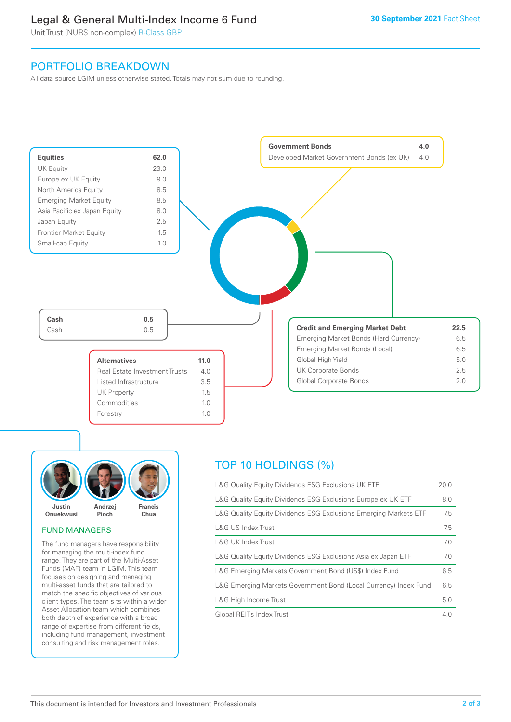### Legal & General Multi-Index Income 6 Fund

Unit Trust (NURS non-complex) R-Class GBP

### PORTFOLIO BREAKDOWN

All data source LGIM unless otherwise stated. Totals may not sum due to rounding.





### FUND MANAGERS

The fund managers have responsibility for managing the multi-index fund range. They are part of the Multi-Asset Funds (MAF) team in LGIM. This team focuses on designing and managing multi-asset funds that are tailored to match the specific objectives of various client types. The team sits within a wider Asset Allocation team which combines both depth of experience with a broad range of expertise from different fields, including fund management, investment consulting and risk management roles.

## TOP 10 HOLDINGS (%)

| L&G Quality Equity Dividends ESG Exclusions UK ETF               | 20.0 |
|------------------------------------------------------------------|------|
| L&G Quality Equity Dividends ESG Exclusions Europe ex UK ETF     | 8.0  |
| L&G Quality Equity Dividends ESG Exclusions Emerging Markets ETF | 7.5  |
| L&G US Index Trust                                               | 7.5  |
| L&G UK Index Trust                                               | 7.0  |
| L&G Quality Equity Dividends ESG Exclusions Asia ex Japan ETF    | 7.0  |
| L&G Emerging Markets Government Bond (US\$) Index Fund           | 6.5  |
| L&G Emerging Markets Government Bond (Local Currency) Index Fund | 6.5  |
| L&G High Income Trust                                            | 5.0  |
| Global REITs Index Trust                                         | 4.0  |